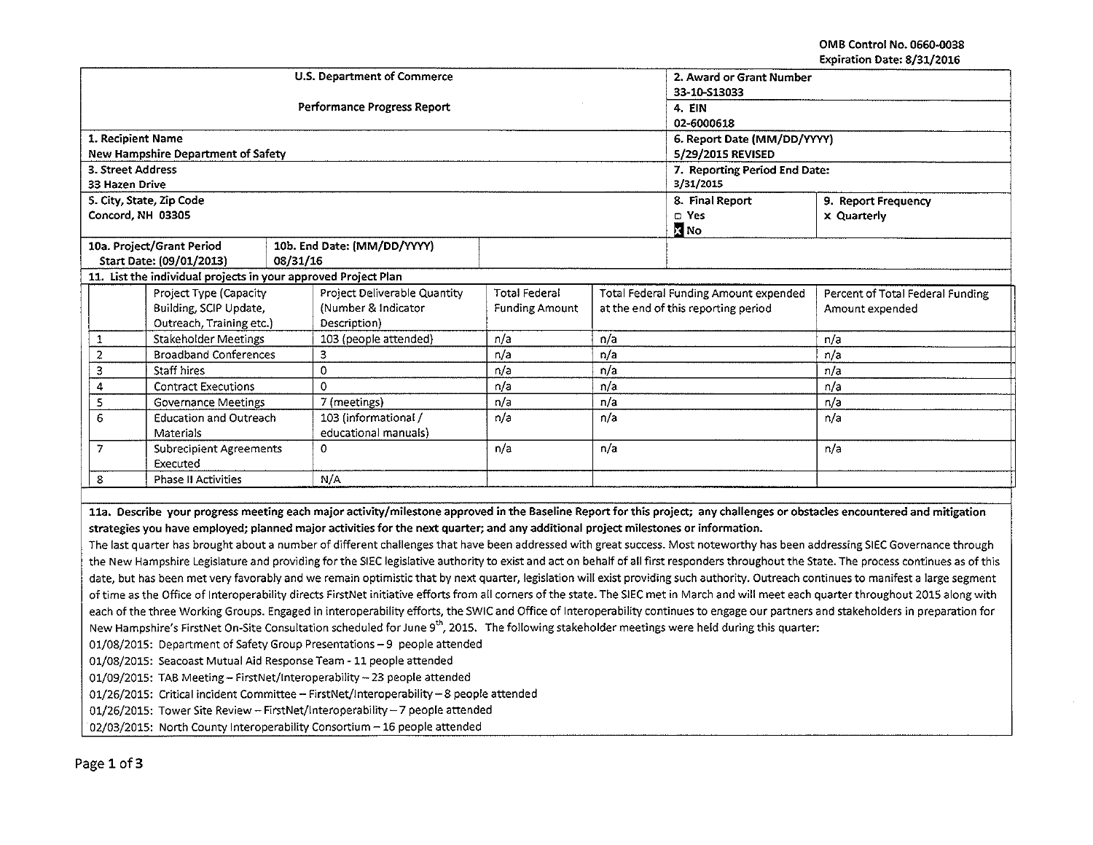OMB Control No. 0660-0038 Expiration Date: 8/31/2016

|                                                                                                                                                                                          |                                                                |          | U.S. Department of Commerce  | 2. Award or Grant Number                   |       |                                       |                                  |  |
|------------------------------------------------------------------------------------------------------------------------------------------------------------------------------------------|----------------------------------------------------------------|----------|------------------------------|--------------------------------------------|-------|---------------------------------------|----------------------------------|--|
|                                                                                                                                                                                          |                                                                |          |                              | 33-10-\$13033                              |       |                                       |                                  |  |
|                                                                                                                                                                                          |                                                                |          | Performance Progress Report  | 4. EIN                                     |       |                                       |                                  |  |
|                                                                                                                                                                                          |                                                                |          |                              | 02-6000618                                 |       |                                       |                                  |  |
| 1. Recipient Name                                                                                                                                                                        |                                                                |          |                              | 6. Report Date (MM/DD/YYYY)                |       |                                       |                                  |  |
| 3. Street Address                                                                                                                                                                        | <b>New Hampshire Department of Safety</b>                      |          |                              | 5/29/2015 REVISED                          |       |                                       |                                  |  |
| 33 Hazen Drive                                                                                                                                                                           |                                                                |          |                              | 7. Reporting Period End Date:<br>3/31/2015 |       |                                       |                                  |  |
|                                                                                                                                                                                          | 5. City, State, Zip Code                                       |          |                              | 8. Final Report<br>9. Report Frequency     |       |                                       |                                  |  |
| Concord, NH 03305                                                                                                                                                                        |                                                                |          |                              |                                            | a Yes | <b>x</b> Quarterly                    |                                  |  |
|                                                                                                                                                                                          |                                                                |          |                              |                                            |       | <b>Z</b> No                           |                                  |  |
|                                                                                                                                                                                          | 10a. Project/Grant Period                                      |          | 10b. End Date: (MM/DD/YYYY)  |                                            |       |                                       |                                  |  |
|                                                                                                                                                                                          | Start Date: (09/01/2013)                                       | 08/31/16 |                              |                                            |       |                                       |                                  |  |
|                                                                                                                                                                                          | 11. List the individual projects in your approved Project Plan |          |                              |                                            |       |                                       |                                  |  |
|                                                                                                                                                                                          | Project Type (Capacity                                         |          | Project Deliverable Quantity | <b>Total Federal</b>                       |       | Total Federal Funding Amount expended | Percent of Total Federal Funding |  |
|                                                                                                                                                                                          | Building, SCIP Update,                                         |          | (Number & Indicator          | <b>Funding Amount</b>                      |       | at the end of this reporting period   | Amount expended                  |  |
|                                                                                                                                                                                          | Outreach, Training etc.)                                       |          | Description)                 |                                            |       |                                       |                                  |  |
| $\mathbf{1}$                                                                                                                                                                             | <b>Stakeholder Meetings</b>                                    |          | 103 (people attended)        | n/a                                        | n/a   |                                       | n/a                              |  |
| $\overline{a}$                                                                                                                                                                           | <b>Broadband Conferences</b>                                   |          | 3                            | n/a                                        | n/a   |                                       | n/a                              |  |
| з                                                                                                                                                                                        | Staff hires                                                    |          | 0                            | n/a                                        | n/a   |                                       | n/a                              |  |
| 4                                                                                                                                                                                        | <b>Contract Executions</b>                                     |          | $\Omega$                     | n/a                                        | n/a   |                                       | n/a                              |  |
| 5                                                                                                                                                                                        | <b>Governance Meetings</b>                                     |          | 7 (meetings)                 | n/a                                        | n/a   |                                       | n/a                              |  |
|                                                                                                                                                                                          | $\epsilon$<br><b>Education and Outreach</b>                    |          | 103 (informational /         | n/a                                        | n/a   |                                       | n/a                              |  |
|                                                                                                                                                                                          | Materials                                                      |          | educational manuals)         |                                            |       |                                       |                                  |  |
| 7                                                                                                                                                                                        | <b>Subrecipient Agreements</b>                                 |          | 0                            | n/a                                        | n/a   |                                       | n/a                              |  |
|                                                                                                                                                                                          | Executed                                                       |          |                              |                                            |       |                                       |                                  |  |
| 8                                                                                                                                                                                        | <b>Phase II Activities</b>                                     |          | N/A                          |                                            |       |                                       |                                  |  |
|                                                                                                                                                                                          |                                                                |          |                              |                                            |       |                                       |                                  |  |
| 11a. Describe your progress meeting each major activity/milestone approved in the Baseline Report for this project; any challenges or obstacles encountered and mitigation               |                                                                |          |                              |                                            |       |                                       |                                  |  |
| strategies you have employed; planned major activities for the next quarter; and any additional project milestones or information.                                                       |                                                                |          |                              |                                            |       |                                       |                                  |  |
| The last quarter has brought about a number of different challenges that have been addressed with great success. Most noteworthy has been addressing SIEC Governance through             |                                                                |          |                              |                                            |       |                                       |                                  |  |
| the New Hampshire Legislature and providing for the SIEC legislative authority to exist and act on behalf of all first responders throughout the State. The process continues as of this |                                                                |          |                              |                                            |       |                                       |                                  |  |
| date, but has been met very favorably and we remain optimistic that by next quarter, legislation will exist providing such authority. Outreach continues to manifest a large segment     |                                                                |          |                              |                                            |       |                                       |                                  |  |
| of time as the Office of Interoperability directs FirstNet initiative efforts from all corners of the state. The SIEC met in March and will meet each quarter throughout 2015 along with |                                                                |          |                              |                                            |       |                                       |                                  |  |
| each of the three Working Groups. Engaged in interoperability efforts, the SWIC and Office of Interoperability continues to engage our partners and stakeholders in preparation for      |                                                                |          |                              |                                            |       |                                       |                                  |  |
| New Hampshire's FirstNet On-Site Consultation scheduled for June 9th, 2015. The following stakeholder meetings were held during this quarter:                                            |                                                                |          |                              |                                            |       |                                       |                                  |  |
| 01/08/2015: Department of Safety Group Presentations - 9 people attended                                                                                                                 |                                                                |          |                              |                                            |       |                                       |                                  |  |
| 01/08/2015: Seacoast Mutual Aid Response Team - 11 people attended                                                                                                                       |                                                                |          |                              |                                            |       |                                       |                                  |  |
| 01/09/2015: TAB Meeting - FirstNet/Interoperability - 23 people attended                                                                                                                 |                                                                |          |                              |                                            |       |                                       |                                  |  |
| $01/26/2015$ : Critical incident Committee - FirstNet/Interoperability - 8 people attended                                                                                               |                                                                |          |                              |                                            |       |                                       |                                  |  |

01/26/2015: Tower Site Review- FirstNet/lnteroperability- 7 people attended

02/03/2015: North County Interoperability Consortium - 16 people attended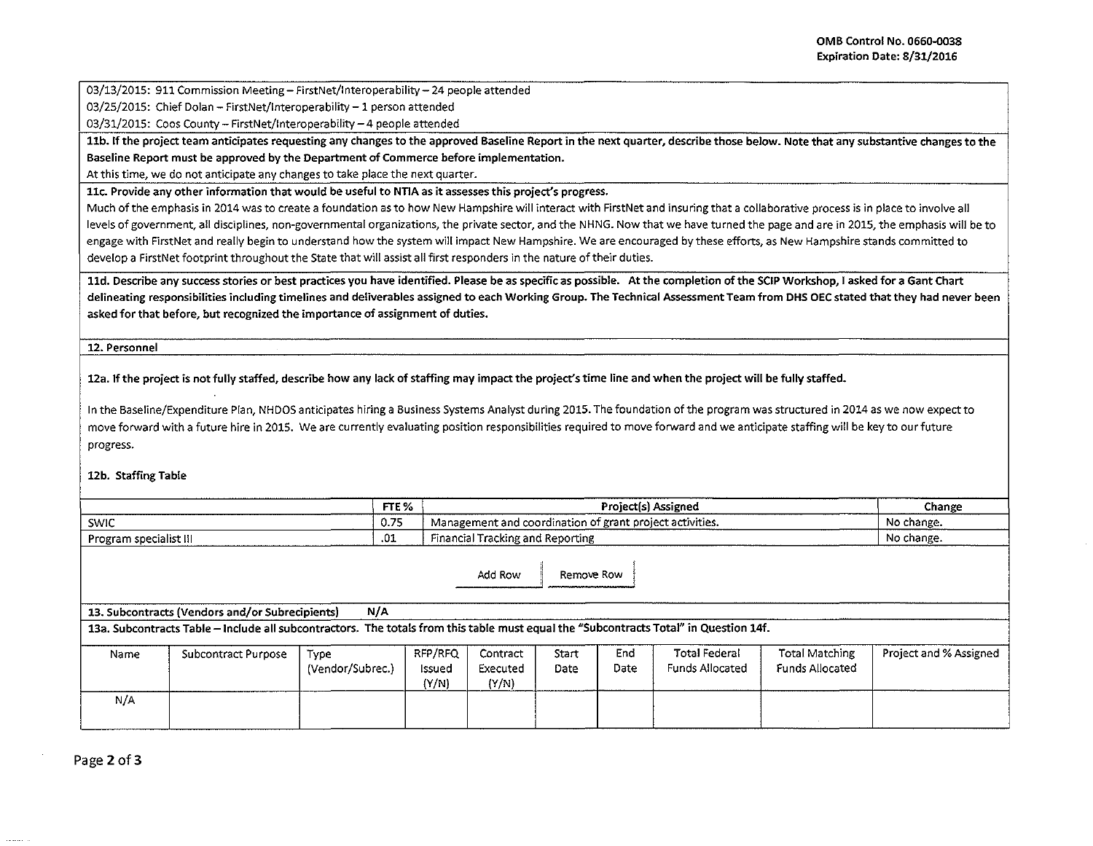03/13/2015: 911 Commission Meeting - FirstNet/Interoperability - 24 people attended

03/25/2015: Chief Dolan - FirstNet/Interoperability - 1 person attended

03/31/2015: Coos County- FirstNet/lnteroperability-4 people attended

11b. If the project team anticipates requesting any changes to the approved Baseline Report in the next quarter, describe those below. Note that any substantive changes to the Baseline Report must be approved by the Department of Commerce before implementation.

At this time, we do not anticipate any changes to take place the next quarter.

llc. Provide any other information that would be useful to NTIA as it assesses this project's progress.

Much of the emphasis in 2014 was to create a foundation as to how New Hampshire will interact with FirstNet and insuring that a collaborative process is in place to involve all levels of government, all disciplines, non-governmental organizations, the private sector, and the NHNG. Now that we have turned the page and are in 2015, the emphasis will be to engage with FirstNet and really begin to understand how the system will impact New Hampshire. We are encouraged by these efforts, as New Hampshire stands committed to develop a FirstNet footprint throughout the State that will assist all first responders in the nature of their duties.

11d. Describe any success stories or best practices you have identified. Please be as specific as possible. At the completion of the SCIP Workshop, I asked for a Gant Chart delineating responsibilities including timelines and deliverables assigned to each Working Group. The Technical Assessment Team from DHS OEC stated that they had never been asked for that before, but recognized the importance of assignment of duties.

12. Personnel

12a. If the project is not fully staffed, describe how any lack of staffing may impact the project's time line and when the project will be fully staffed.

In the Baseline/Expenditure Plan, NHDOS anticipates hiring a Business Systems Analyst during 2015. The foundation of the program was structured in 2014 as we now expect to move forward with a future hire in 2015. We are currently evaluating position responsibilities required to move forward and we anticipate staffing will be key to our future progress.

## 12b. Staffing Table

|                        | FTE <sub>%</sub> | Project(s) Assigned                                                   | Change     |
|------------------------|------------------|-----------------------------------------------------------------------|------------|
| SWIC                   | 0.75             | <sup>1</sup> Management and coordination of grant project activities. | No change. |
| Program specialist III | ົ<br>ړن.         | l Tracking and Reporting<br>Financial                                 | No change. |

Add Row **I** Remove Row

13. Subcontracts (Vendors and/or Subrecipients) N/A

13a. Subcontracts Table - Include all subcontractors. The totals from this table must equal the "Subcontracts Total" in Question 14f.

| Name | Subcontract Purpose | Type<br>(Vendor/Subrec.) | RFP/RFQ<br>Issued<br>(Y/N) | Contract<br>Executed<br>(Y/N) | Start<br>Date | End<br>Date | <b>Total Federal</b><br><b>Funds Allocated</b> | Total Matching<br>Funds Allocated | Project and % Assigned |
|------|---------------------|--------------------------|----------------------------|-------------------------------|---------------|-------------|------------------------------------------------|-----------------------------------|------------------------|
| N/A  |                     |                          |                            |                               |               |             |                                                |                                   |                        |

Page 2 of 3